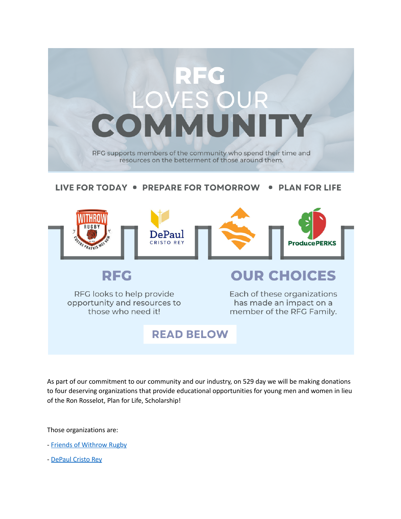

## LIVE FOR TODAY . PREPARE FOR TOMORROW . PLAN FOR LIFE



RFG looks to help provide opportunity and resources to those who need it!

Each of these organizations has made an impact on a member of the RFG Family.

## **READ BELOW**

As part of our commitment to our community and our industry, on 529 day we will be making donations to four deserving organizations that provide educational opportunities for young men and women in lieu of the Ron Rosselot, Plan for Life, Scholarship!

Those organizations are:

- Friends of [Withrow](https://www.facebook.com/groups/584526845053266/) Rugby
- [DePaul](https://www.depaulcristorey.org/giving/ways-to-give) Cristo Rey